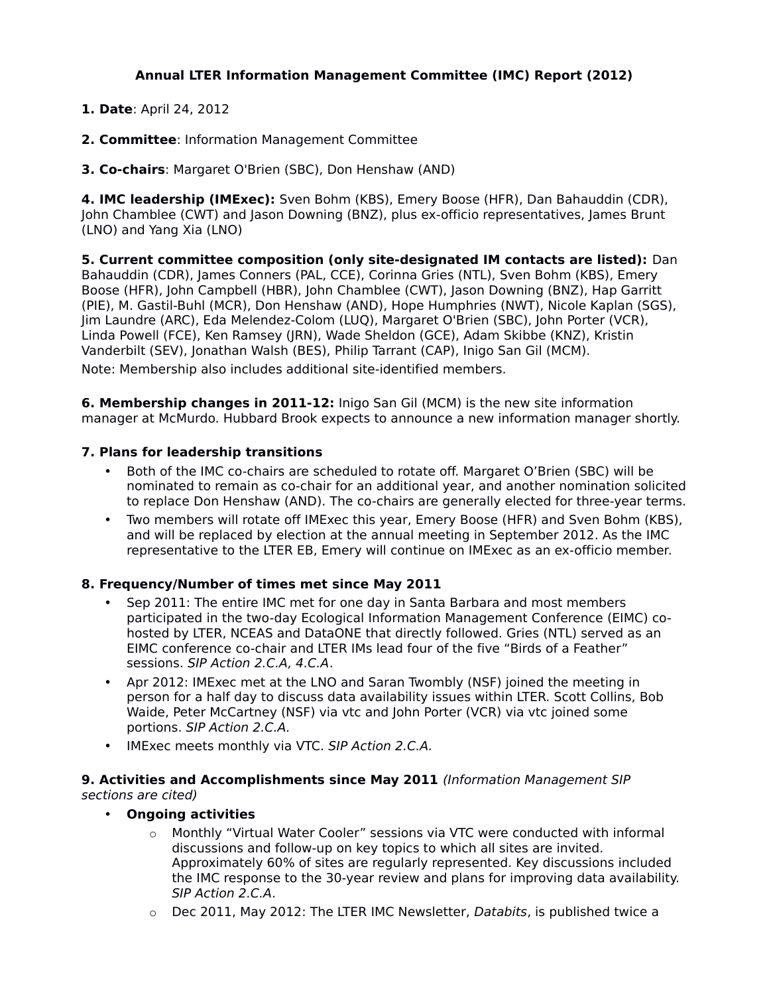# **Annual LTER Information Management Committee (IMC) Report (2012)**

- **1. Date**: April 24, 2012
- **2. Committee**: Information Management Committee
- **3. Co-chairs**: Margaret O'Brien (SBC), Don Henshaw (AND)

**4. IMC leadership (IMExec):** Sven Bohm (KBS), Emery Boose (HFR), Dan Bahauddin (CDR), John Chamblee (CWT) and Jason Downing (BNZ), plus ex-officio representatives, James Brunt (LNO) and Yang Xia (LNO)

**5. Current committee composition (only site-designated IM contacts are listed):** Dan Bahauddin (CDR), James Conners (PAL, CCE), Corinna Gries (NTL), Sven Bohm (KBS), Emery Boose (HFR), John Campbell (HBR), John Chamblee (CWT), Jason Downing (BNZ), Hap Garritt (PIE), M. Gastil-Buhl (MCR), Don Henshaw (AND), Hope Humphries (NWT), Nicole Kaplan (SGS), Jim Laundre (ARC), Eda Melendez-Colom (LUQ), Margaret O'Brien (SBC), John Porter (VCR), Linda Powell (FCE), Ken Ramsey (JRN), Wade Sheldon (GCE), Adam Skibbe (KNZ), Kristin Vanderbilt (SEV), Jonathan Walsh (BES), Philip Tarrant (CAP), Inigo San Gil (MCM). Note: Membership also includes additional site-identified members.

**6. Membership changes in 2011-12:** Inigo San Gil (MCM) is the new site information manager at McMurdo. Hubbard Brook expects to announce a new information manager shortly.

### **7. Plans for leadership transitions**

- Both of the IMC co-chairs are scheduled to rotate off. Margaret O'Brien (SBC) will be nominated to remain as co-chair for an additional year, and another nomination solicited to replace Don Henshaw (AND). The co-chairs are generally elected for three-year terms.
- Two members will rotate off IMExec this year, Emery Boose (HFR) and Sven Bohm (KBS), and will be replaced by election at the annual meeting in September 2012. As the IMC representative to the LTER EB, Emery will continue on IMExec as an ex-officio member.

## **8. Frequency/Number of times met since May 2011**

- Sep 2011: The entire IMC met for one day in Santa Barbara and most members participated in the two-day Ecological Information Management Conference (EIMC) cohosted by LTER, NCEAS and DataONE that directly followed. Gries (NTL) served as an EIMC conference co-chair and LTER IMs lead four of the five "Birds of a Feather" sessions. SIP Action 2.C.A, 4.C.A.
- Apr 2012: IMExec met at the LNO and Saran Twombly (NSF) joined the meeting in person for a half day to discuss data availability issues within LTER. Scott Collins, Bob Waide, Peter McCartney (NSF) via vtc and John Porter (VCR) via vtc joined some portions. SIP Action 2.C.A.
- IMExec meets monthly via VTC. SIP Action 2.C.A.

### **9. Activities and Accomplishments since May 2011** (Information Management SIP sections are cited)

## • **Ongoing activities**

- o Monthly "Virtual Water Cooler" sessions via VTC were conducted with informal discussions and follow-up on key topics to which all sites are invited. Approximately 60% of sites are regularly represented. Key discussions included the IMC response to the 30-year review and plans for improving data availability. SIP Action 2.C.A.
- $\circ$  Dec 2011, May 2012: The LTER IMC Newsletter, Databits, is published twice a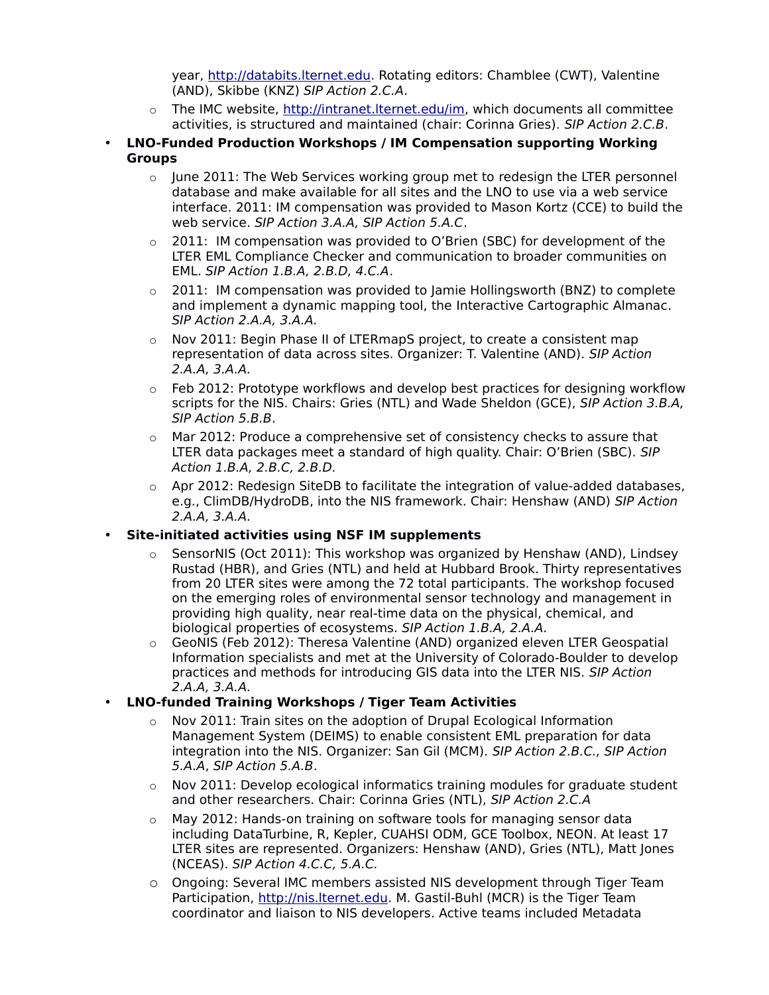year, [http://databits.lternet.edu.](http://databits.lternet.edu/) Rotating editors: Chamblee (CWT), Valentine (AND), Skibbe (KNZ) SIP Action 2.C.A.

- o The IMC website, [http://intranet.lternet.edu/im,](http://intranet.lternet.edu/im) which documents all committee activities, is structured and maintained (chair: Corinna Gries). SIP Action 2.C.B.
- **LNO-Funded Production Workshops / IM Compensation supporting Working Groups**
	- $\circ$  June 2011: The Web Services working group met to redesign the LTER personnel database and make available for all sites and the LNO to use via a web service interface. 2011: IM compensation was provided to Mason Kortz (CCE) to build the web service. SIP Action 3.A.A, SIP Action 5.A.C.
	- $\circ$  2011: IM compensation was provided to O'Brien (SBC) for development of the LTER EML Compliance Checker and communication to broader communities on EML. SIP Action 1.B.A, 2.B.D, 4.C.A.
	- $\circ$  2011: IM compensation was provided to Jamie Hollingsworth (BNZ) to complete and implement a dynamic mapping tool, the Interactive Cartographic Almanac. SIP Action 2.A.A, 3.A.A.
	- $\circ$  Nov 2011: Begin Phase II of LTERmapS project, to create a consistent map representation of data across sites. Organizer: T. Valentine (AND). SIP Action 2.A.A, 3.A.A.
	- o Feb 2012: Prototype workflows and develop best practices for designing workflow scripts for the NIS. Chairs: Gries (NTL) and Wade Sheldon (GCE), SIP Action 3.B.A, SIP Action 5.B.B.
	- $\circ$  Mar 2012: Produce a comprehensive set of consistency checks to assure that LTER data packages meet a standard of high quality. Chair: O'Brien (SBC). SIP Action 1.B.A, 2.B.C, 2.B.D.
	- $\circ$  Apr 2012: Redesign SiteDB to facilitate the integration of value-added databases, e.g., ClimDB/HydroDB, into the NIS framework. Chair: Henshaw (AND) SIP Action 2.A.A, 3.A.A.

#### • **Site-initiated activities using NSF IM supplements**

- SensorNIS (Oct 2011): This workshop was organized by Henshaw (AND), Lindsey Rustad (HBR), and Gries (NTL) and held at Hubbard Brook. Thirty representatives from 20 LTER sites were among the 72 total participants. The workshop focused on the emerging roles of environmental sensor technology and management in providing high quality, near real-time data on the physical, chemical, and biological properties of ecosystems. SIP Action 1.B.A, 2.A.A.
- o GeoNIS (Feb 2012): Theresa Valentine (AND) organized eleven LTER Geospatial Information specialists and met at the University of Colorado-Boulder to develop practices and methods for introducing GIS data into the LTER NIS. SIP Action 2.A.A, 3.A.A.

## • **LNO-funded Training Workshops / Tiger Team Activities**

- $\circ$  Nov 2011: Train sites on the adoption of Drupal Ecological Information Management System (DEIMS) to enable consistent EML preparation for data integration into the NIS. Organizer: San Gil (MCM). SIP Action 2.B.C., SIP Action 5.A.A, SIP Action 5.A.B.
- $\circ$  Nov 2011: Develop ecological informatics training modules for graduate student and other researchers. Chair: Corinna Gries (NTL), SIP Action 2.C.A
- $\circ$  May 2012: Hands-on training on software tools for managing sensor data including DataTurbine, R, Kepler, CUAHSI ODM, GCE Toolbox, NEON. At least 17 LTER sites are represented. Organizers: Henshaw (AND), Gries (NTL), Matt Jones (NCEAS). SIP Action 4.C.C, 5.A.C.
- o Ongoing: Several IMC members assisted NIS development through Tiger Team Participation, [http://nis.lternet.edu.](http://nis.lternet.edu/) M. Gastil-Buhl (MCR) is the Tiger Team coordinator and liaison to NIS developers. Active teams included Metadata